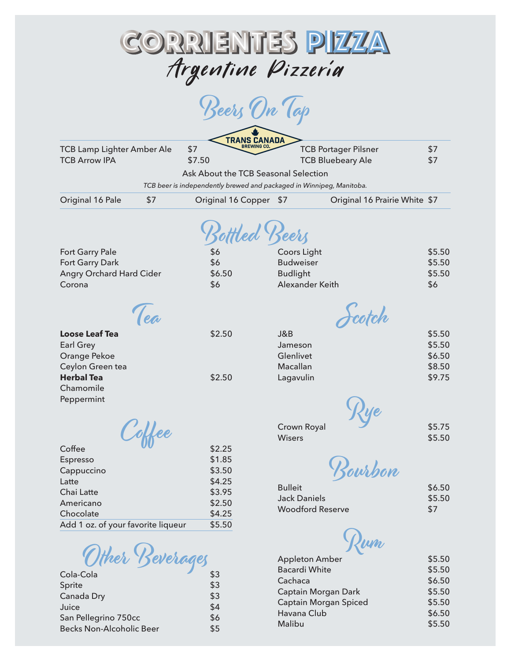

| TCB Lamp Lighter Amber Ale         | <b>TRANS CANADA</b><br>\$7           | <b>TCB Portager Pilsner</b>                                          | \$7    |
|------------------------------------|--------------------------------------|----------------------------------------------------------------------|--------|
| <b>TCB Arrow IPA</b>               | \$7.50                               | <b>TCB Bluebeary Ale</b>                                             | \$7    |
|                                    | Ask About the TCB Seasonal Selection |                                                                      |        |
|                                    |                                      | TCB beer is independently brewed and packaged in Winnipeg, Manitoba. |        |
| Original 16 Pale<br>\$7            | Original 16 Copper                   | Original 16 Prairie White \$7<br>\$7                                 |        |
|                                    | Bottled Beers                        |                                                                      |        |
| Fort Garry Pale                    | \$6                                  | Coors Light                                                          | \$5.50 |
| Fort Garry Dark                    | \$6                                  | <b>Budweiser</b>                                                     | \$5.50 |
| Angry Orchard Hard Cider           | \$6.50                               | <b>Budlight</b>                                                      | \$5.50 |
| Corona                             | \$6                                  | Alexander Keith                                                      | \$6    |
| Tea                                |                                      | Scotch                                                               |        |
| <b>Loose Leaf Tea</b>              | \$2.50                               | J&B                                                                  | \$5.50 |
| <b>Earl Grey</b>                   |                                      | Jameson                                                              | \$5.50 |
| Orange Pekoe                       |                                      | Glenlivet                                                            | \$6.50 |
| Ceylon Green tea                   |                                      | Macallan                                                             | \$8.50 |
| <b>Herbal Tea</b>                  | \$2.50                               | Lagavulin                                                            | \$9.75 |
| Chamomile                          |                                      |                                                                      |        |
| Peppermint                         |                                      |                                                                      |        |
|                                    |                                      | Crown Royal                                                          | \$5.75 |
| offee                              |                                      | <b>Wisers</b>                                                        | \$5.50 |
| Coffee                             | \$2.25                               |                                                                      |        |
| Espresso                           | \$1.85                               |                                                                      |        |
| Cappuccino                         | \$3.50                               | Bourbon                                                              |        |
| Latte                              | \$4.25                               | <b>Bulleit</b>                                                       | \$6.50 |
| Chai Latte                         | \$3.95                               | <b>Jack Daniels</b>                                                  | \$5.50 |
| Americano                          | \$2.50                               | <b>Woodford Reserve</b>                                              | \$7    |
| Chocolate                          | \$4.25                               |                                                                      |        |
| Add 1 oz. of your favorite liqueur | \$5.50                               |                                                                      |        |
| Ither Beverages                    |                                      | <b>Appleton Amber</b>                                                | \$5.50 |

Bacardi White  $$5.50$ Cachaca \$6.50 Captain Morgan Dark \$5.50 Captain Morgan Spiced \$5.50 Havana Club **\$6.50** Malibu  $$5.50$ 

| Cola-Cola                       | \$3 |
|---------------------------------|-----|
| Sprite                          | \$3 |
| Canada Dry                      | \$3 |
| Juice                           | \$4 |
| San Pellegrino 750cc            | \$6 |
| <b>Becks Non-Alcoholic Beer</b> | \$5 |
|                                 |     |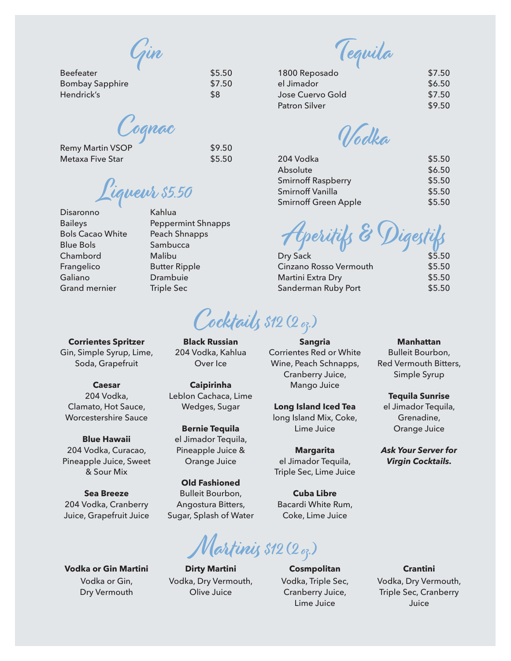Gin

| <b>Beefeater</b>       | \$5.50 |
|------------------------|--------|
| <b>Bombay Sapphire</b> | \$7.50 |
| Hendrick's             | \$8    |

Cognac

| <b>Remy Martin VSOP</b> | \$9.50 |
|-------------------------|--------|
| Metaxa Five Star        | \$5.50 |

 $\emph{Y}$ iqueur \$5.50

Kahlua

Butter Ripple Drambuie Triple Sec

Peppermint Shnapps Peach Shnapps **Sambucca** Malibu

- Disaronno **Baileys** Bols Cacao White Blue Bols Chambord Frangelico Galiano Grand mernier
- **Corrientes Spritzer** Gin, Simple Syrup, Lime,

Soda, Grapefruit **Caesar** 204 Vodka,

Clamato, Hot Sauce, Worcestershire Sauce

**Blue Hawaii**  204 Vodka, Curacao, Pineapple Juice, Sweet & Sour Mix

**Sea Breeze** 204 Vodka, Cranberry Juice, Grapefruit Juice

**Vodka or Gin Martini** Vodka or Gin, Dry Vermouth

**Dirty Martini**  Vodka, Dry Vermouth, Olive Juice

Martinis \$12 (2 oz.)

**Cosmpolitan** Vodka, Triple Sec, Cranberry Juice, Lime Juice

Tequila

| 1800 Reposado    | \$7.50 |
|------------------|--------|
| el Jimador       | \$6.50 |
| Jose Cuervo Gold | \$7.50 |
| Patron Silver    | \$9.50 |

Vodka

| 204 Vodka                   | \$5.50 |
|-----------------------------|--------|
| Absolute                    | \$6.50 |
| <b>Smirnoff Raspberry</b>   | \$5.50 |
| Smirnoff Vanilla            | \$5.50 |
| <b>Smirnoff Green Apple</b> | \$5.50 |
|                             |        |

Aperitifs & Digestifs

| Dry Sack               | \$5.50 |
|------------------------|--------|
| Cinzano Rosso Vermouth | \$5.50 |
| Martini Extra Dry      | \$5.50 |
| Sanderman Ruby Port    | \$5.50 |

**Sangria** Corrientes Red or White Wine, Peach Schnapps, Cranberry Juice, Mango Juice

**Long Island Iced Tea** long Island Mix, Coke, Lime Juice

**Margarita** el Jimador Tequila, Triple Sec, Lime Juice

**Cuba Libre** Bacardi White Rum, Coke, Lime Juice

## **Manhattan** Bulleit Bourbon, Red Vermouth Bitters, Simple Syrup

**Tequila Sunrise** el Jimador Tequila, Grenadine, Orange Juice

*Ask Your Server for Virgin Cocktails.*

**Crantini**

Vodka, Dry Vermouth, Triple Sec, Cranberry Juice

**Black Russian** 204 Vodka, Kahlua Over Ice

Cocktails \$12 (2 oz.)

**Caipirinha** Leblon Cachaca, Lime Wedges, Sugar

**Bernie Tequila** el Jimador Tequila, Pineapple Juice & Orange Juice

**Old Fashioned** Bulleit Bourbon, Angostura Bitters, Sugar, Splash of Water